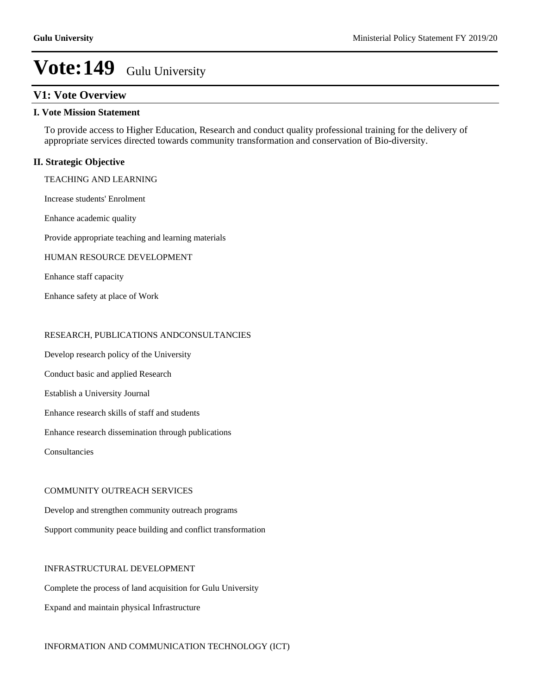## **V1: Vote Overview**

### **I. Vote Mission Statement**

To provide access to Higher Education, Research and conduct quality professional training for the delivery of appropriate services directed towards community transformation and conservation of Bio-diversity.

## **II. Strategic Objective**

TEACHING AND LEARNING

Increase students' Enrolment

Enhance academic quality

Provide appropriate teaching and learning materials

#### HUMAN RESOURCE DEVELOPMENT

Enhance staff capacity

Enhance safety at place of Work

## RESEARCH, PUBLICATIONS ANDCONSULTANCIES

Develop research policy of the University

Conduct basic and applied Research

Establish a University Journal

Enhance research skills of staff and students

Enhance research dissemination through publications

Consultancies

### COMMUNITY OUTREACH SERVICES

Develop and strengthen community outreach programs

Support community peace building and conflict transformation

#### INFRASTRUCTURAL DEVELOPMENT

Complete the process of land acquisition for Gulu University Expand and maintain physical Infrastructure

### INFORMATION AND COMMUNICATION TECHNOLOGY (ICT)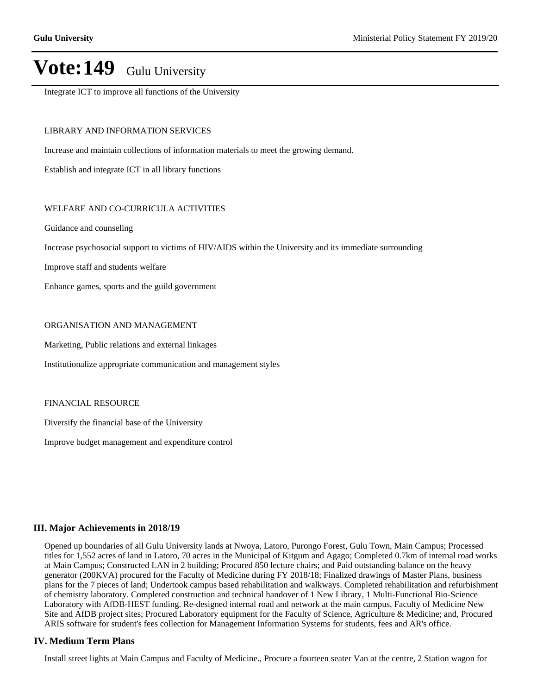Integrate ICT to improve all functions of the University

## LIBRARY AND INFORMATION SERVICES

Increase and maintain collections of information materials to meet the growing demand.

Establish and integrate ICT in all library functions

## WELFARE AND CO-CURRICULA ACTIVITIES

Guidance and counseling

Increase psychosocial support to victims of HIV/AIDS within the University and its immediate surrounding

Improve staff and students welfare

Enhance games, sports and the guild government

### ORGANISATION AND MANAGEMENT

Marketing, Public relations and external linkages

Institutionalize appropriate communication and management styles

#### FINANCIAL RESOURCE

Diversify the financial base of the University

Improve budget management and expenditure control

### **III. Major Achievements in 2018/19**

Opened up boundaries of all Gulu University lands at Nwoya, Latoro, Purongo Forest, Gulu Town, Main Campus; Processed titles for 1,552 acres of land in Latoro, 70 acres in the Municipal of Kitgum and Agago; Completed 0.7km of internal road works at Main Campus; Constructed LAN in 2 building; Procured 850 lecture chairs; and Paid outstanding balance on the heavy generator (200KVA) procured for the Faculty of Medicine during FY 2018/18; Finalized drawings of Master Plans, business plans for the 7 pieces of land; Undertook campus based rehabilitation and walkways. Completed rehabilitation and refurbishment of chemistry laboratory. Completed construction and technical handover of 1 New Library, 1 Multi-Functional Bio-Science Laboratory with AfDB-HEST funding. Re-designed internal road and network at the main campus, Faculty of Medicine New Site and AfDB project sites; Procured Laboratory equipment for the Faculty of Science, Agriculture & Medicine; and, Procured ARIS software for student's fees collection for Management Information Systems for students, fees and AR's office.

### **IV. Medium Term Plans**

Install street lights at Main Campus and Faculty of Medicine., Procure a fourteen seater Van at the centre, 2 Station wagon for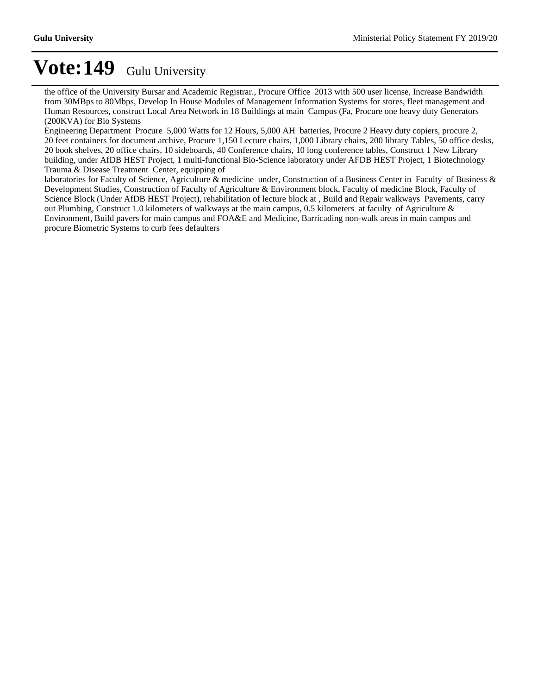the office of the University Bursar and Academic Registrar., Procure Office 2013 with 500 user license, Increase Bandwidth from 30MBps to 80Mbps, Develop In House Modules of Management Information Systems for stores, fleet management and Human Resources, construct Local Area Network in 18 Buildings at main Campus (Fa, Procure one heavy duty Generators (200KVA) for Bio Systems

Engineering Department Procure 5,000 Watts for 12 Hours, 5,000 AH batteries, Procure 2 Heavy duty copiers, procure 2, 20 feet containers for document archive, Procure 1,150 Lecture chairs, 1,000 Library chairs, 200 library Tables, 50 office desks, 20 book shelves, 20 office chairs, 10 sideboards, 40 Conference chairs, 10 long conference tables, Construct 1 New Library building, under AfDB HEST Project, 1 multi-functional Bio-Science laboratory under AFDB HEST Project, 1 Biotechnology Trauma & Disease Treatment Center, equipping of

laboratories for Faculty of Science, Agriculture & medicine under, Construction of a Business Center in Faculty of Business & Development Studies, Construction of Faculty of Agriculture & Environment block, Faculty of medicine Block, Faculty of Science Block (Under AfDB HEST Project), rehabilitation of lecture block at , Build and Repair walkways Pavements, carry out Plumbing, Construct 1.0 kilometers of walkways at the main campus, 0.5 kilometers at faculty of Agriculture & Environment, Build pavers for main campus and FOA&E and Medicine, Barricading non-walk areas in main campus and procure Biometric Systems to curb fees defaulters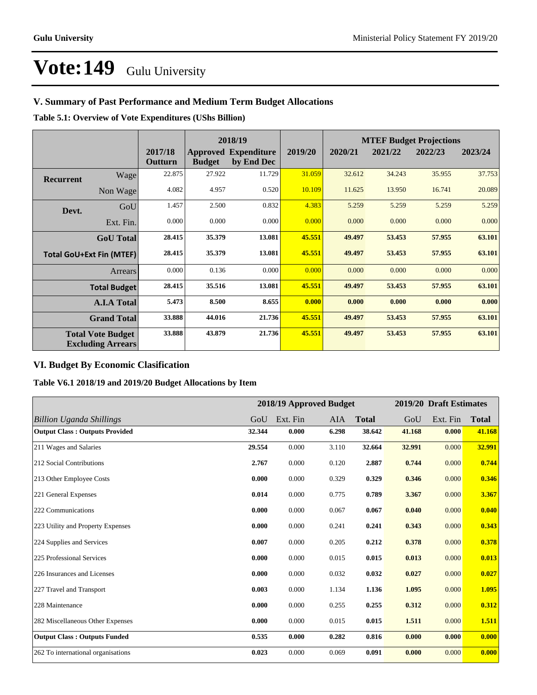## **V. Summary of Past Performance and Medium Term Budget Allocations**

**Table 5.1: Overview of Vote Expenditures (UShs Billion)**

|                  |                                                      |                    |               | 2018/19                                   |         |         |         | <b>MTEF Budget Projections</b> |         |
|------------------|------------------------------------------------------|--------------------|---------------|-------------------------------------------|---------|---------|---------|--------------------------------|---------|
|                  |                                                      | 2017/18<br>Outturn | <b>Budget</b> | <b>Approved Expenditure</b><br>by End Dec | 2019/20 | 2020/21 | 2021/22 | 2022/23                        | 2023/24 |
| <b>Recurrent</b> | Wage                                                 | 22.875             | 27.922        | 11.729                                    | 31.059  | 32.612  | 34.243  | 35.955                         | 37.753  |
|                  | Non Wage                                             | 4.082              | 4.957         | 0.520                                     | 10.109  | 11.625  | 13.950  | 16.741                         | 20.089  |
| Devt.            | GoU                                                  | 1.457              | 2.500         | 0.832                                     | 4.383   | 5.259   | 5.259   | 5.259                          | 5.259   |
|                  | Ext. Fin.                                            | 0.000              | 0.000         | 0.000                                     | 0.000   | 0.000   | 0.000   | 0.000                          | 0.000   |
|                  | <b>GoU</b> Total                                     | 28.415             | 35.379        | 13.081                                    | 45.551  | 49.497  | 53.453  | 57.955                         | 63.101  |
|                  | <b>Total GoU+Ext Fin (MTEF)</b>                      | 28.415             | 35.379        | 13.081                                    | 45.551  | 49.497  | 53.453  | 57.955                         | 63.101  |
|                  | Arrears                                              | 0.000              | 0.136         | 0.000                                     | 0.000   | 0.000   | 0.000   | 0.000                          | 0.000   |
|                  | <b>Total Budget</b>                                  | 28.415             | 35.516        | 13.081                                    | 45.551  | 49.497  | 53.453  | 57.955                         | 63.101  |
|                  | <b>A.I.A Total</b>                                   | 5.473              | 8.500         | 8.655                                     | 0.000   | 0.000   | 0.000   | 0.000                          | 0.000   |
|                  | <b>Grand Total</b>                                   | 33.888             | 44.016        | 21.736                                    | 45.551  | 49.497  | 53.453  | 57.955                         | 63.101  |
|                  | <b>Total Vote Budget</b><br><b>Excluding Arrears</b> | 33.888             | 43.879        | 21.736                                    | 45.551  | 49.497  | 53.453  | 57.955                         | 63.101  |

## **VI. Budget By Economic Clasification**

**Table V6.1 2018/19 and 2019/20 Budget Allocations by Item**

|                                       |        |          | 2018/19 Approved Budget |              |        | 2019/20 Draft Estimates |              |
|---------------------------------------|--------|----------|-------------------------|--------------|--------|-------------------------|--------------|
| <b>Billion Uganda Shillings</b>       | GoU    | Ext. Fin | AIA                     | <b>Total</b> | GoU    | Ext. Fin                | <b>Total</b> |
| <b>Output Class: Outputs Provided</b> | 32.344 | 0.000    | 6.298                   | 38.642       | 41.168 | 0.000                   | 41.168       |
| 211 Wages and Salaries                | 29.554 | 0.000    | 3.110                   | 32.664       | 32.991 | 0.000                   | 32.991       |
| 212 Social Contributions              | 2.767  | 0.000    | 0.120                   | 2.887        | 0.744  | 0.000                   | 0.744        |
| 213 Other Employee Costs              | 0.000  | 0.000    | 0.329                   | 0.329        | 0.346  | 0.000                   | 0.346        |
| 221 General Expenses                  | 0.014  | 0.000    | 0.775                   | 0.789        | 3.367  | 0.000                   | 3.367        |
| 222 Communications                    | 0.000  | 0.000    | 0.067                   | 0.067        | 0.040  | 0.000                   | 0.040        |
| 223 Utility and Property Expenses     | 0.000  | 0.000    | 0.241                   | 0.241        | 0.343  | 0.000                   | 0.343        |
| 224 Supplies and Services             | 0.007  | 0.000    | 0.205                   | 0.212        | 0.378  | 0.000                   | 0.378        |
| 225 Professional Services             | 0.000  | 0.000    | 0.015                   | 0.015        | 0.013  | 0.000                   | 0.013        |
| 226 Insurances and Licenses           | 0.000  | 0.000    | 0.032                   | 0.032        | 0.027  | 0.000                   | 0.027        |
| 227 Travel and Transport              | 0.003  | 0.000    | 1.134                   | 1.136        | 1.095  | 0.000                   | 1.095        |
| 228 Maintenance                       | 0.000  | 0.000    | 0.255                   | 0.255        | 0.312  | 0.000                   | 0.312        |
| 282 Miscellaneous Other Expenses      | 0.000  | 0.000    | 0.015                   | 0.015        | 1.511  | 0.000                   | 1.511        |
| <b>Output Class: Outputs Funded</b>   | 0.535  | 0.000    | 0.282                   | 0.816        | 0.000  | 0.000                   | 0.000        |
| 262 To international organisations    | 0.023  | 0.000    | 0.069                   | 0.091        | 0.000  | 0.000                   | 0.000        |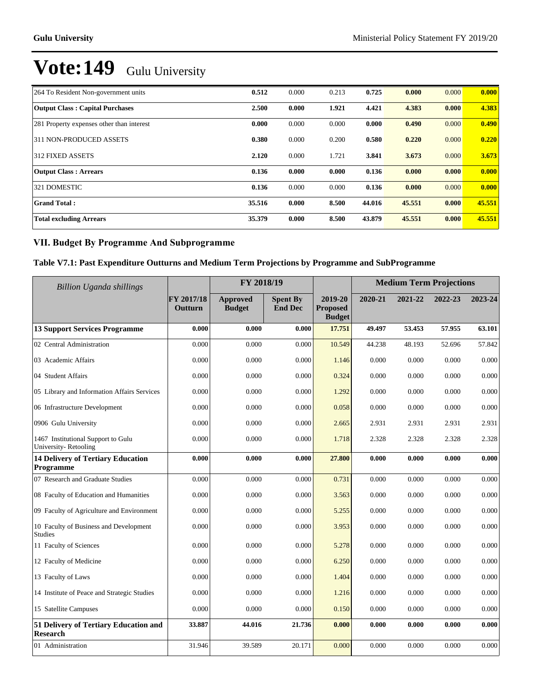| 264 To Resident Non-government units      | 0.512  | 0.000 | 0.213 | 0.725  | 0.000  | 0.000 | 0.000  |
|-------------------------------------------|--------|-------|-------|--------|--------|-------|--------|
| <b>Output Class: Capital Purchases</b>    | 2.500  | 0.000 | 1.921 | 4.421  | 4.383  | 0.000 | 4.383  |
| 281 Property expenses other than interest | 0.000  | 0.000 | 0.000 | 0.000  | 0.490  | 0.000 | 0.490  |
| 311 NON-PRODUCED ASSETS                   | 0.380  | 0.000 | 0.200 | 0.580  | 0.220  | 0.000 | 0.220  |
| 312 FIXED ASSETS                          | 2.120  | 0.000 | 1.721 | 3.841  | 3.673  | 0.000 | 3.673  |
| <b>Output Class: Arrears</b>              | 0.136  | 0.000 | 0.000 | 0.136  | 0.000  | 0.000 | 0.000  |
| 321 DOMESTIC                              | 0.136  | 0.000 | 0.000 | 0.136  | 0.000  | 0.000 | 0.000  |
| <b>Grand Total:</b>                       | 35.516 | 0.000 | 8.500 | 44.016 | 45.551 | 0.000 | 45.551 |
| <b>Total excluding Arrears</b>            | 35.379 | 0.000 | 8.500 | 43.879 | 45.551 | 0.000 | 45.551 |

## **VII. Budget By Programme And Subprogramme**

## **Table V7.1: Past Expenditure Outturns and Medium Term Projections by Programme and SubProgramme**

| Billion Uganda shillings                                   |                       | FY 2018/19                       |                                   |                                             | <b>Medium Term Projections</b> |         |         |         |
|------------------------------------------------------------|-----------------------|----------------------------------|-----------------------------------|---------------------------------------------|--------------------------------|---------|---------|---------|
|                                                            | FY 2017/18<br>Outturn | <b>Approved</b><br><b>Budget</b> | <b>Spent By</b><br><b>End Dec</b> | 2019-20<br><b>Proposed</b><br><b>Budget</b> | 2020-21                        | 2021-22 | 2022-23 | 2023-24 |
| <b>13 Support Services Programme</b>                       | 0.000                 | 0.000                            | 0.000                             | 17.751                                      | 49.497                         | 53.453  | 57.955  | 63.101  |
| 02 Central Administration                                  | 0.000                 | 0.000                            | 0.000                             | 10.549                                      | 44.238                         | 48.193  | 52.696  | 57.842  |
| 03 Academic Affairs                                        | 0.000                 | 0.000                            | 0.000                             | 1.146                                       | 0.000                          | 0.000   | 0.000   | 0.000   |
| 04 Student Affairs                                         | 0.000                 | 0.000                            | 0.000                             | 0.324                                       | 0.000                          | 0.000   | 0.000   | 0.000   |
| 05 Library and Information Affairs Services                | 0.000                 | 0.000                            | 0.000                             | 1.292                                       | 0.000                          | 0.000   | 0.000   | 0.000   |
| 06 Infrastructure Development                              | 0.000                 | 0.000                            | 0.000                             | 0.058                                       | 0.000                          | 0.000   | 0.000   | 0.000   |
| 0906 Gulu University                                       | 0.000                 | 0.000                            | 0.000                             | 2.665                                       | 2.931                          | 2.931   | 2.931   | 2.931   |
| 1467 Institutional Support to Gulu<br>University-Retooling | 0.000                 | 0.000                            | 0.000                             | 1.718                                       | 2.328                          | 2.328   | 2.328   | 2.328   |
| <b>14 Delivery of Tertiary Education</b><br>Programme      | 0.000                 | 0.000                            | 0.000                             | 27.800                                      | 0.000                          | 0.000   | 0.000   | 0.000   |
| 07 Research and Graduate Studies                           | 0.000                 | 0.000                            | 0.000                             | 0.731                                       | 0.000                          | 0.000   | 0.000   | 0.000   |
| 08 Faculty of Education and Humanities                     | 0.000                 | 0.000                            | 0.000                             | 3.563                                       | 0.000                          | 0.000   | 0.000   | 0.000   |
| 09 Faculty of Agriculture and Environment                  | 0.000                 | 0.000                            | 0.000                             | 5.255                                       | 0.000                          | 0.000   | 0.000   | 0.000   |
| 10 Faculty of Business and Development<br><b>Studies</b>   | 0.000                 | 0.000                            | 0.000                             | 3.953                                       | 0.000                          | 0.000   | 0.000   | 0.000   |
| 11 Faculty of Sciences                                     | 0.000                 | 0.000                            | 0.000                             | 5.278                                       | 0.000                          | 0.000   | 0.000   | 0.000   |
| 12 Faculty of Medicine                                     | 0.000                 | 0.000                            | 0.000                             | 6.250                                       | 0.000                          | 0.000   | 0.000   | 0.000   |
| 13 Faculty of Laws                                         | 0.000                 | 0.000                            | 0.000                             | 1.404                                       | 0.000                          | 0.000   | 0.000   | 0.000   |
| 14 Institute of Peace and Strategic Studies                | 0.000                 | 0.000                            | 0.000                             | 1.216                                       | 0.000                          | 0.000   | 0.000   | 0.000   |
| 15 Satellite Campuses                                      | 0.000                 | 0.000                            | 0.000                             | 0.150                                       | 0.000                          | 0.000   | 0.000   | 0.000   |
| 51 Delivery of Tertiary Education and<br><b>Research</b>   | 33.887                | 44.016                           | 21.736                            | 0.000                                       | 0.000                          | 0.000   | 0.000   | 0.000   |
| 01 Administration                                          | 31.946                | 39.589                           | 20.171                            | 0.000                                       | 0.000                          | 0.000   | 0.000   | 0.000   |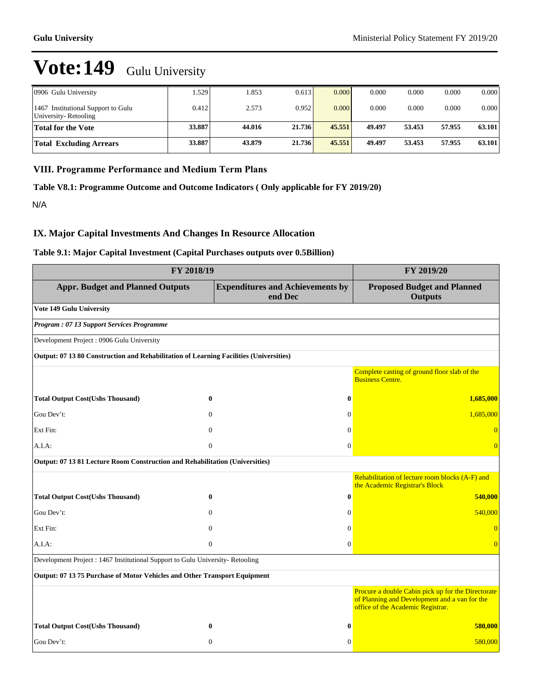| 0906 Gulu University                                       | 1.529  | .853   | 0.613  | 0.000  | 0.000  | 0.000  | 0.000  | 0.000  |
|------------------------------------------------------------|--------|--------|--------|--------|--------|--------|--------|--------|
| 1467 Institutional Support to Gulu<br>University-Retooling | 0.412  | 2.573  | 0.952  | 0.000  | 0.000  | 0.000  | 0.000  | 0.000  |
| <b>Total for the Vote</b>                                  | 33.887 | 44.016 | 21.736 | 45.551 | 49.497 | 53.453 | 57.955 | 63.101 |
| <b>Total Excluding Arrears</b>                             | 33.887 | 43.879 | 21.736 | 45.551 | 49.497 | 53.453 | 57.955 | 63.101 |

## **VIII. Programme Performance and Medium Term Plans**

**Table V8.1: Programme Outcome and Outcome Indicators ( Only applicable for FY 2019/20)**

N/A

## **IX. Major Capital Investments And Changes In Resource Allocation**

## **Table 9.1: Major Capital Investment (Capital Purchases outputs over 0.5Billion)**

| FY 2018/19                                                                             | FY 2019/20     |                                                    |                                                                                                                                          |
|----------------------------------------------------------------------------------------|----------------|----------------------------------------------------|------------------------------------------------------------------------------------------------------------------------------------------|
| <b>Appr. Budget and Planned Outputs</b>                                                |                | <b>Expenditures and Achievements by</b><br>end Dec | <b>Proposed Budget and Planned</b><br><b>Outputs</b>                                                                                     |
| Vote 149 Gulu University                                                               |                |                                                    |                                                                                                                                          |
| Program: 07 13 Support Services Programme                                              |                |                                                    |                                                                                                                                          |
| Development Project: 0906 Gulu University                                              |                |                                                    |                                                                                                                                          |
| Output: 07 13 80 Construction and Rehabilitation of Learning Facilities (Universities) |                |                                                    |                                                                                                                                          |
|                                                                                        |                |                                                    | Complete casting of ground floor slab of the<br><b>Business Centre.</b>                                                                  |
| <b>Total Output Cost(Ushs Thousand)</b>                                                | $\bf{0}$       | $\bf{0}$                                           | 1,685,000                                                                                                                                |
| Gou Dev't:                                                                             | $\Omega$       | $\Omega$                                           | 1,685,000                                                                                                                                |
| Ext Fin:                                                                               | $\theta$       | $\Omega$                                           | $\Omega$                                                                                                                                 |
| A.I.A:                                                                                 | $\overline{0}$ | $\Omega$                                           | $\Omega$                                                                                                                                 |
| Output: 07 13 81 Lecture Room Construction and Rehabilitation (Universities)           |                |                                                    |                                                                                                                                          |
|                                                                                        |                |                                                    | Rehabilitation of lecture room blocks (A-F) and<br>the Academic Registrar's Block                                                        |
| <b>Total Output Cost(Ushs Thousand)</b>                                                | $\bf{0}$       | $\bf{0}$                                           | 540,000                                                                                                                                  |
| Gou Dev't:                                                                             | $\mathbf{0}$   | $\mathbf{0}$                                       | 540,000                                                                                                                                  |
| Ext Fin:                                                                               | $\theta$       | $\mathbf{0}$                                       | $\overline{0}$                                                                                                                           |
| A.I.A.                                                                                 | $\mathbf{0}$   | $\Omega$                                           | $\Omega$                                                                                                                                 |
| Development Project : 1467 Institutional Support to Gulu University-Retooling          |                |                                                    |                                                                                                                                          |
| Output: 07 13 75 Purchase of Motor Vehicles and Other Transport Equipment              |                |                                                    |                                                                                                                                          |
|                                                                                        |                |                                                    | Procure a double Cabin pick up for the Directorate<br>of Planning and Development and a van for the<br>office of the Academic Registrar. |
| <b>Total Output Cost(Ushs Thousand)</b>                                                | $\bf{0}$       | $\bf{0}$                                           | 580,000                                                                                                                                  |
| Gou Dev't:                                                                             | $\mathbf{0}$   | $\mathbf{0}$                                       | 580,000                                                                                                                                  |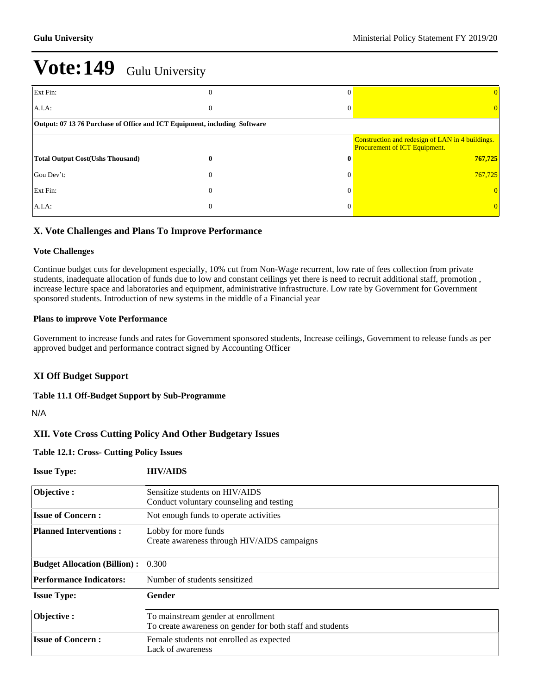| Ext Fin:                                                                  | $\overline{0}$ | $\Omega$     |                                                                                          |  |  |  |  |  |  |
|---------------------------------------------------------------------------|----------------|--------------|------------------------------------------------------------------------------------------|--|--|--|--|--|--|
| $A.I.A$ :                                                                 | $\mathbf{0}$   | $\Omega$     | 0                                                                                        |  |  |  |  |  |  |
| Output: 07 13 76 Purchase of Office and ICT Equipment, including Software |                |              |                                                                                          |  |  |  |  |  |  |
|                                                                           |                |              | Construction and redesign of LAN in 4 buildings.<br><b>Procurement of ICT Equipment.</b> |  |  |  |  |  |  |
| <b>Total Output Cost(Ushs Thousand)</b>                                   | 0              | $\mathbf{0}$ | 767,725                                                                                  |  |  |  |  |  |  |
| Gou Dev't:                                                                | $\theta$       | $\Omega$     | 767,725                                                                                  |  |  |  |  |  |  |
| Ext Fin:                                                                  | $\theta$       | $\Omega$     | $\overline{0}$                                                                           |  |  |  |  |  |  |
| $A.I.A$ :                                                                 | $\theta$       | $\Omega$     | $\overline{0}$                                                                           |  |  |  |  |  |  |

## **X. Vote Challenges and Plans To Improve Performance**

## **Vote Challenges**

Continue budget cuts for development especially, 10% cut from Non-Wage recurrent, low rate of fees collection from private students, inadequate allocation of funds due to low and constant ceilings yet there is need to recruit additional staff, promotion , increase lecture space and laboratories and equipment, administrative infrastructure. Low rate by Government for Government sponsored students. Introduction of new systems in the middle of a Financial year

## **Plans to improve Vote Performance**

Government to increase funds and rates for Government sponsored students, Increase ceilings, Government to release funds as per approved budget and performance contract signed by Accounting Officer

## **XI Off Budget Support**

### **Table 11.1 Off-Budget Support by Sub-Programme**

N/A

## **XII. Vote Cross Cutting Policy And Other Budgetary Issues**

## **Table 12.1: Cross- Cutting Policy Issues**

| <b>Issue Type:</b>                  | <b>HIV/AIDS</b>                                                                                 |
|-------------------------------------|-------------------------------------------------------------------------------------------------|
| Objective:                          | Sensitize students on HIV/AIDS<br>Conduct voluntary counseling and testing                      |
| <b>Issue of Concern:</b>            | Not enough funds to operate activities                                                          |
| <b>Planned Interventions:</b>       | Lobby for more funds<br>Create awareness through HIV/AIDS campaigns                             |
| <b>Budget Allocation (Billion):</b> | 0.300                                                                                           |
| <b>Performance Indicators:</b>      | Number of students sensitized                                                                   |
| <b>Issue Type:</b>                  | Gender                                                                                          |
| Objective:                          | To mainstream gender at enrollment<br>To create awareness on gender for both staff and students |
| <b>Issue of Concern:</b>            | Female students not enrolled as expected<br>Lack of awareness                                   |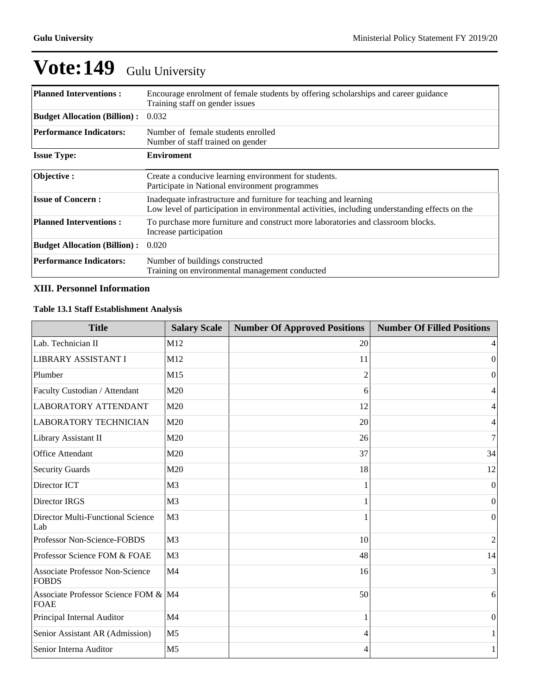| <b>Planned Interventions:</b>       | Encourage enrolment of female students by offering scholarships and career guidance<br>Training staff on gender issues                                              |
|-------------------------------------|---------------------------------------------------------------------------------------------------------------------------------------------------------------------|
| <b>Budget Allocation (Billion):</b> | 0.032                                                                                                                                                               |
| <b>Performance Indicators:</b>      | Number of female students enrolled<br>Number of staff trained on gender                                                                                             |
| <b>Issue Type:</b>                  | <b>Enviroment</b>                                                                                                                                                   |
| Objective:                          | Create a conducive learning environment for students.<br>Participate in National environment programmes                                                             |
| <b>Issue of Concern:</b>            | Inadequate infrastructure and furniture for teaching and learning<br>Low level of participation in environmental activities, including understanding effects on the |
| <b>Planned Interventions:</b>       | To purchase more furniture and construct more laboratories and classroom blocks.<br>Increase participation                                                          |
| <b>Budget Allocation (Billion):</b> | 0.020                                                                                                                                                               |
| <b>Performance Indicators:</b>      | Number of buildings constructed<br>Training on environmental management conducted                                                                                   |

## **XIII. Personnel Information**

## **Table 13.1 Staff Establishment Analysis**

| <b>Title</b>                                           | <b>Salary Scale</b> | <b>Number Of Approved Positions</b> | <b>Number Of Filled Positions</b> |
|--------------------------------------------------------|---------------------|-------------------------------------|-----------------------------------|
| Lab. Technician II                                     | M12                 | 20                                  | 4                                 |
| LIBRARY ASSISTANT I                                    | M12                 | 11                                  | $\Omega$                          |
| Plumber                                                | M15                 | $\overline{c}$                      | $\boldsymbol{0}$                  |
| Faculty Custodian / Attendant                          | M20                 | 6                                   | 4                                 |
| <b>LABORATORY ATTENDANT</b>                            | M20                 | 12                                  | 4                                 |
| <b>LABORATORY TECHNICIAN</b>                           | M20                 | 20                                  | 4                                 |
| Library Assistant II                                   | M20                 | 26                                  | $\tau$                            |
| Office Attendant                                       | M20                 | 37                                  | 34                                |
| <b>Security Guards</b>                                 | M20                 | 18                                  | 12                                |
| Director ICT                                           | M <sub>3</sub>      |                                     | $\Omega$                          |
| Director IRGS                                          | M <sub>3</sub>      |                                     | $\vert 0 \vert$                   |
| Director Multi-Functional Science<br>Lab               | M <sub>3</sub>      |                                     | $\Omega$                          |
| Professor Non-Science-FOBDS                            | M <sub>3</sub>      | 10                                  | 2                                 |
| Professor Science FOM & FOAE                           | M <sub>3</sub>      | 48                                  | 14                                |
| <b>Associate Professor Non-Science</b><br><b>FOBDS</b> | M <sub>4</sub>      | 16                                  | 3                                 |
| Associate Professor Science FOM & M4<br><b>FOAE</b>    |                     | 50                                  | $6 \mid$                          |
| Principal Internal Auditor                             | M <sub>4</sub>      |                                     | $\overline{0}$                    |
| Senior Assistant AR (Admission)                        | M <sub>5</sub>      | 4                                   |                                   |
| Senior Interna Auditor                                 | M <sub>5</sub>      | 4                                   | 1                                 |